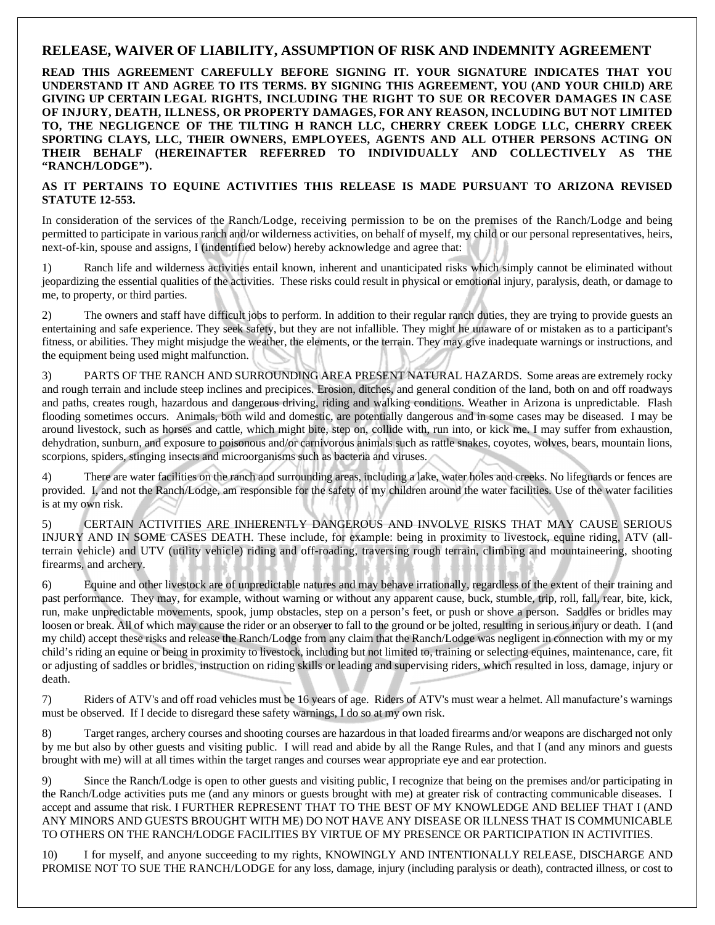## **RELEASE, WAIVER OF LIABILITY, ASSUMPTION OF RISK AND INDEMNITY AGREEMENT**

**READ THIS AGREEMENT CAREFULLY BEFORE SIGNING IT. YOUR SIGNATURE INDICATES THAT YOU UNDERSTAND IT AND AGREE TO ITS TERMS. BY SIGNING THIS AGREEMENT, YOU (AND YOUR CHILD) ARE GIVING UP CERTAIN LEGAL RIGHTS, INCLUDING THE RIGHT TO SUE OR RECOVER DAMAGES IN CASE OF INJURY, DEATH, ILLNESS, OR PROPERTY DAMAGES, FOR ANY REASON, INCLUDING BUT NOT LIMITED TO, THE NEGLIGENCE OF THE TILTING H RANCH LLC, CHERRY CREEK LODGE LLC, CHERRY CREEK SPORTING CLAYS, LLC, THEIR OWNERS, EMPLOYEES, AGENTS AND ALL OTHER PERSONS ACTING ON THEIR BEHALF (HEREINAFTER REFERRED TO INDIVIDUALLY AND COLLECTIVELY AS THE "RANCH/LODGE").** 

## **AS IT PERTAINS TO EQUINE ACTIVITIES THIS RELEASE IS MADE PURSUANT TO ARIZONA REVISED STATUTE 12-553.**

In consideration of the services of the Ranch/Lodge, receiving permission to be on the premises of the Ranch/Lodge and being permitted to participate in various ranch and/or wilderness activities, on behalf of myself, my child or our personal representatives, heirs, next-of-kin, spouse and assigns, I (indentified below) hereby acknowledge and agree that:

1) Ranch life and wilderness activities entail known, inherent and unanticipated risks which simply cannot be eliminated without jeopardizing the essential qualities of the activities. These risks could result in physical or emotional injury, paralysis, death, or damage to me, to property, or third parties.

2) The owners and staff have difficult jobs to perform. In addition to their regular ranch duties, they are trying to provide guests an entertaining and safe experience. They seek safety, but they are not infallible. They might he unaware of or mistaken as to a participant's fitness, or abilities. They might misjudge the weather, the elements, or the terrain. They may give inadequate warnings or instructions, and the equipment being used might malfunction.

3) PARTS OF THE RANCH AND SURROUNDING AREA PRESENT NATURAL HAZARDS. Some areas are extremely rocky and rough terrain and include steep inclines and precipices. Erosion, ditches, and general condition of the land, both on and off roadways and paths, creates rough, hazardous and dangerous driving, riding and walking conditions. Weather in Arizona is unpredictable. Flash flooding sometimes occurs. Animals, both wild and domestic, are potentially dangerous and in some cases may be diseased. I may be around livestock, such as horses and cattle, which might bite, step on, collide with, run into, or kick me. I may suffer from exhaustion, dehydration, sunburn, and exposure to poisonous and/or carnivorous animals such as rattle snakes, coyotes, wolves, bears, mountain lions, scorpions, spiders, stinging insects and microorganisms such as bacteria and viruses.

4) There are water facilities on the ranch and surrounding areas, including a lake, water holes and creeks. No lifeguards or fences are provided. I, and not the Ranch/Lodge, am responsible for the safety of my children around the water facilities. Use of the water facilities is at my own risk.

5) CERTAIN ACTIVITIES ARE INHERENTLY DANGEROUS AND INVOLVE RISKS THAT MAY CAUSE SERIOUS INJURY AND IN SOME CASES DEATH. These include, for example: being in proximity to livestock, equine riding, ATV (allterrain vehicle) and UTV (utility vehicle) riding and off-roading, traversing rough terrain, climbing and mountaineering, shooting firearms, and archery.

6) Equine and other livestock are of unpredictable natures and may behave irrationally, regardless of the extent of their training and past performance. They may, for example, without warning or without any apparent cause, buck, stumble, trip, roll, fall, rear, bite, kick, run, make unpredictable movements, spook, jump obstacles, step on a person's feet, or push or shove a person. Saddles or bridles may loosen or break. All of which may cause the rider or an observer to fall to the ground or be jolted, resulting in serious injury or death. I (and my child) accept these risks and release the Ranch/Lodge from any claim that the Ranch/Lodge was negligent in connection with my or my child's riding an equine or being in proximity to livestock, including but not limited to, training or selecting equines, maintenance, care, fit or adjusting of saddles or bridles, instruction on riding skills or leading and supervising riders, which resulted in loss, damage, injury or death.

7) Riders of ATV's and off road vehicles must be 16 years of age. Riders of ATV's must wear a helmet. All manufacture's warnings must be observed. If I decide to disregard these safety warnings, I do so at my own risk.

Target ranges, archery courses and shooting courses are hazardous in that loaded firearms and/or weapons are discharged not only by me but also by other guests and visiting public. I will read and abide by all the Range Rules, and that I (and any minors and guests brought with me) will at all times within the target ranges and courses wear appropriate eye and ear protection.

9) Since the Ranch/Lodge is open to other guests and visiting public, I recognize that being on the premises and/or participating in the Ranch/Lodge activities puts me (and any minors or guests brought with me) at greater risk of contracting communicable diseases. I accept and assume that risk. I FURTHER REPRESENT THAT TO THE BEST OF MY KNOWLEDGE AND BELIEF THAT I (AND ANY MINORS AND GUESTS BROUGHT WITH ME) DO NOT HAVE ANY DISEASE OR ILLNESS THAT IS COMMUNICABLE TO OTHERS ON THE RANCH/LODGE FACILITIES BY VIRTUE OF MY PRESENCE OR PARTICIPATION IN ACTIVITIES.

10) I for myself, and anyone succeeding to my rights, KNOWINGLY AND INTENTIONALLY RELEASE, DISCHARGE AND PROMISE NOT TO SUE THE RANCH/LODGE for any loss, damage, injury (including paralysis or death), contracted illness, or cost to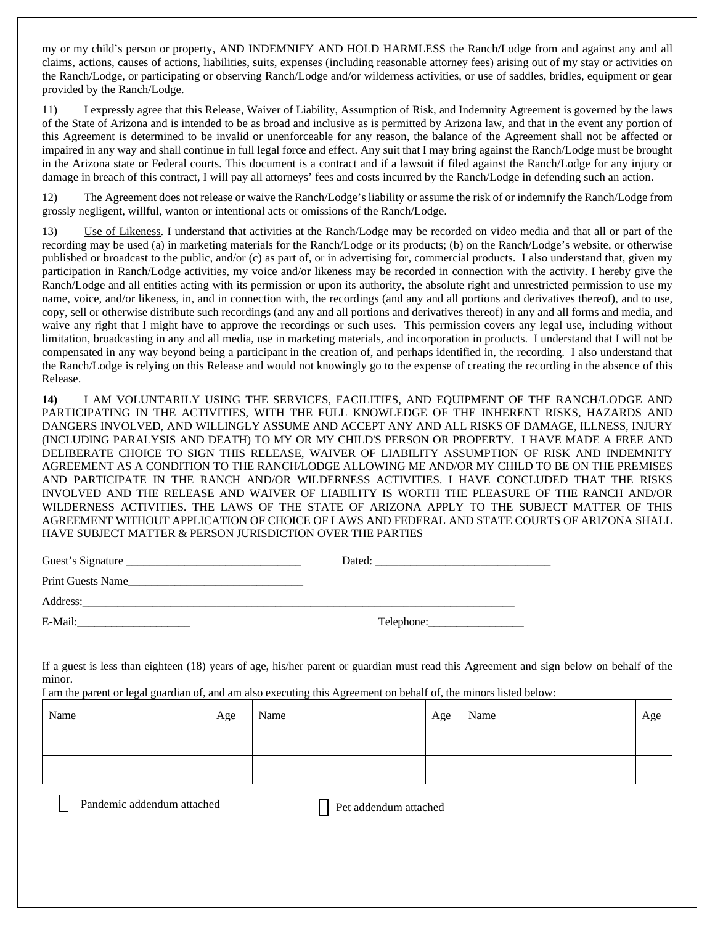my or my child's person or property, AND INDEMNIFY AND HOLD HARMLESS the Ranch/Lodge from and against any and all claims, actions, causes of actions, liabilities, suits, expenses (including reasonable attorney fees) arising out of my stay or activities on the Ranch/Lodge, or participating or observing Ranch/Lodge and/or wilderness activities, or use of saddles, bridles, equipment or gear provided by the Ranch/Lodge.

11) I expressly agree that this Release, Waiver of Liability, Assumption of Risk, and Indemnity Agreement is governed by the laws of the State of Arizona and is intended to be as broad and inclusive as is permitted by Arizona law, and that in the event any portion of this Agreement is determined to be invalid or unenforceable for any reason, the balance of the Agreement shall not be affected or impaired in any way and shall continue in full legal force and effect. Any suit that I may bring against the Ranch/Lodge must be brought in the Arizona state or Federal courts. This document is a contract and if a lawsuit if filed against the Ranch/Lodge for any injury or damage in breach of this contract, I will pay all attorneys' fees and costs incurred by the Ranch/Lodge in defending such an action.

12) The Agreement does not release or waive the Ranch/Lodge's liability or assume the risk of or indemnify the Ranch/Lodge from grossly negligent, willful, wanton or intentional acts or omissions of the Ranch/Lodge.

13) Use of Likeness. I understand that activities at the Ranch/Lodge may be recorded on video media and that all or part of the recording may be used (a) in marketing materials for the Ranch/Lodge or its products; (b) on the Ranch/Lodge's website, or otherwise published or broadcast to the public, and/or (c) as part of, or in advertising for, commercial products. I also understand that, given my participation in Ranch/Lodge activities, my voice and/or likeness may be recorded in connection with the activity. I hereby give the Ranch/Lodge and all entities acting with its permission or upon its authority, the absolute right and unrestricted permission to use my name, voice, and/or likeness, in, and in connection with, the recordings (and any and all portions and derivatives thereof), and to use, copy, sell or otherwise distribute such recordings (and any and all portions and derivatives thereof) in any and all forms and media, and waive any right that I might have to approve the recordings or such uses. This permission covers any legal use, including without limitation, broadcasting in any and all media, use in marketing materials, and incorporation in products. I understand that I will not be compensated in any way beyond being a participant in the creation of, and perhaps identified in, the recording. I also understand that the Ranch/Lodge is relying on this Release and would not knowingly go to the expense of creating the recording in the absence of this Release.

**14)** I AM VOLUNTARILY USING THE SERVICES, FACILITIES, AND EQUIPMENT OF THE RANCH/LODGE AND PARTICIPATING IN THE ACTIVITIES, WITH THE FULL KNOWLEDGE OF THE INHERENT RISKS, HAZARDS AND DANGERS INVOLVED, AND WILLINGLY ASSUME AND ACCEPT ANY AND ALL RISKS OF DAMAGE, ILLNESS, INJURY (INCLUDING PARALYSIS AND DEATH) TO MY OR MY CHILD'S PERSON OR PROPERTY. I HAVE MADE A FREE AND DELIBERATE CHOICE TO SIGN THIS RELEASE, WAIVER OF LIABILITY ASSUMPTION OF RISK AND INDEMNITY AGREEMENT AS A CONDITION TO THE RANCH/LODGE ALLOWING ME AND/OR MY CHILD TO BE ON THE PREMISES AND PARTICIPATE IN THE RANCH AND/OR WILDERNESS ACTIVITIES. I HAVE CONCLUDED THAT THE RISKS INVOLVED AND THE RELEASE AND WAIVER OF LIABILITY IS WORTH THE PLEASURE OF THE RANCH AND/OR WILDERNESS ACTIVITIES. THE LAWS OF THE STATE OF ARIZONA APPLY TO THE SUBJECT MATTER OF THIS AGREEMENT WITHOUT APPLICATION OF CHOICE OF LAWS AND FEDERAL AND STATE COURTS OF ARIZONA SHALL HAVE SUBJECT MATTER & PERSON JURISDICTION OVER THE PARTIES

| Guest's Signature        | Dated:     |  |
|--------------------------|------------|--|
| <b>Print Guests Name</b> |            |  |
| Address:                 |            |  |
| E-Mail:                  | Telephone: |  |

If a guest is less than eighteen (18) years of age, his/her parent or guardian must read this Agreement and sign below on behalf of the minor.

I am the parent or legal guardian of, and am also executing this Agreement on behalf of, the minors listed below:

| Name | Age | Name | Age | Name | Age |
|------|-----|------|-----|------|-----|
|      |     |      |     |      |     |
|      |     |      |     |      |     |

Pandemic addendum attached <br>
Pet addendum attached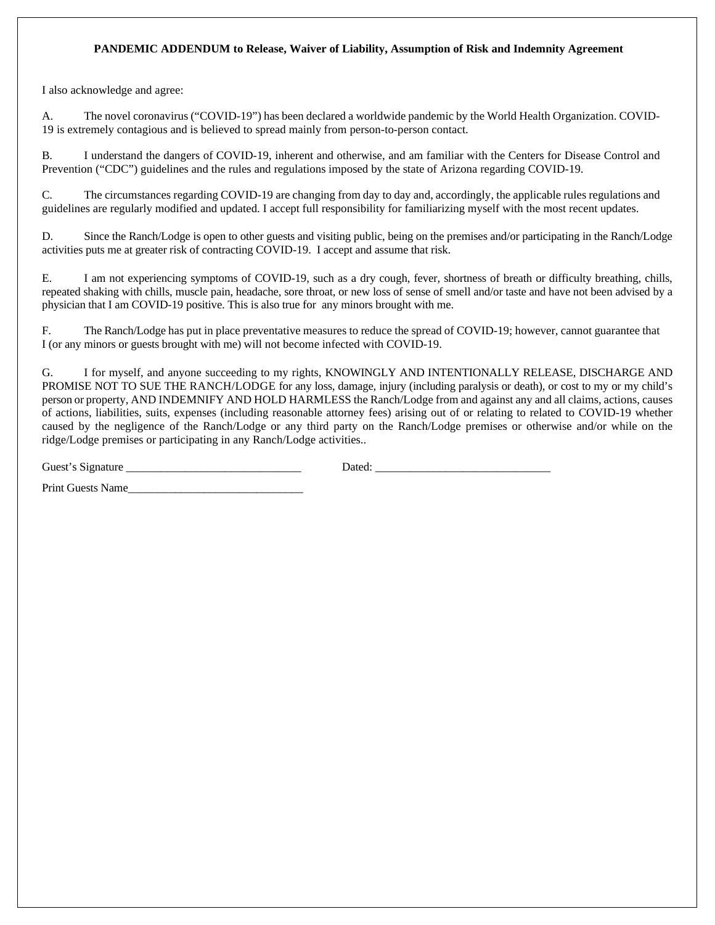## **PANDEMIC ADDENDUM to Release, Waiver of Liability, Assumption of Risk and Indemnity Agreement**

I also acknowledge and agree:

A. The novel coronavirus ("COVID-19") has been declared a worldwide pandemic by the World Health Organization. COVID-19 is extremely contagious and is believed to spread mainly from person-to-person contact.

B. I understand the dangers of COVID-19, inherent and otherwise, and am familiar with the Centers for Disease Control and Prevention ("CDC") guidelines and the rules and regulations imposed by the state of Arizona regarding COVID-19.

C. The circumstances regarding COVID-19 are changing from day to day and, accordingly, the applicable rules regulations and guidelines are regularly modified and updated. I accept full responsibility for familiarizing myself with the most recent updates.

D. Since the Ranch/Lodge is open to other guests and visiting public, being on the premises and/or participating in the Ranch/Lodge activities puts me at greater risk of contracting COVID-19. I accept and assume that risk.

E. I am not experiencing symptoms of COVID-19, such as a dry cough, fever, shortness of breath or difficulty breathing, chills, repeated shaking with chills, muscle pain, headache, sore throat, or new loss of sense of smell and/or taste and have not been advised by a physician that I am COVID-19 positive. This is also true for any minors brought with me.

F. The Ranch/Lodge has put in place preventative measures to reduce the spread of COVID-19; however, cannot guarantee that I (or any minors or guests brought with me) will not become infected with COVID-19.

G. I for myself, and anyone succeeding to my rights, KNOWINGLY AND INTENTIONALLY RELEASE, DISCHARGE AND PROMISE NOT TO SUE THE RANCH/LODGE for any loss, damage, injury (including paralysis or death), or cost to my or my child's person or property, AND INDEMNIFY AND HOLD HARMLESS the Ranch/Lodge from and against any and all claims, actions, causes of actions, liabilities, suits, expenses (including reasonable attorney fees) arising out of or relating to related to COVID-19 whether caused by the negligence of the Ranch/Lodge or any third party on the Ranch/Lodge premises or otherwise and/or while on the ridge/Lodge premises or participating in any Ranch/Lodge activities..

Guest's Signature \_\_\_\_\_\_\_\_\_\_\_\_\_\_\_\_\_\_\_\_\_\_\_\_\_\_\_\_\_\_ Dated: \_\_\_\_\_\_\_\_\_\_\_\_\_\_\_\_\_\_\_\_\_\_\_\_\_\_\_\_\_\_

Print Guests Name\_\_\_\_\_\_\_\_\_\_\_\_\_\_\_\_\_\_\_\_\_\_\_\_\_\_\_\_\_\_